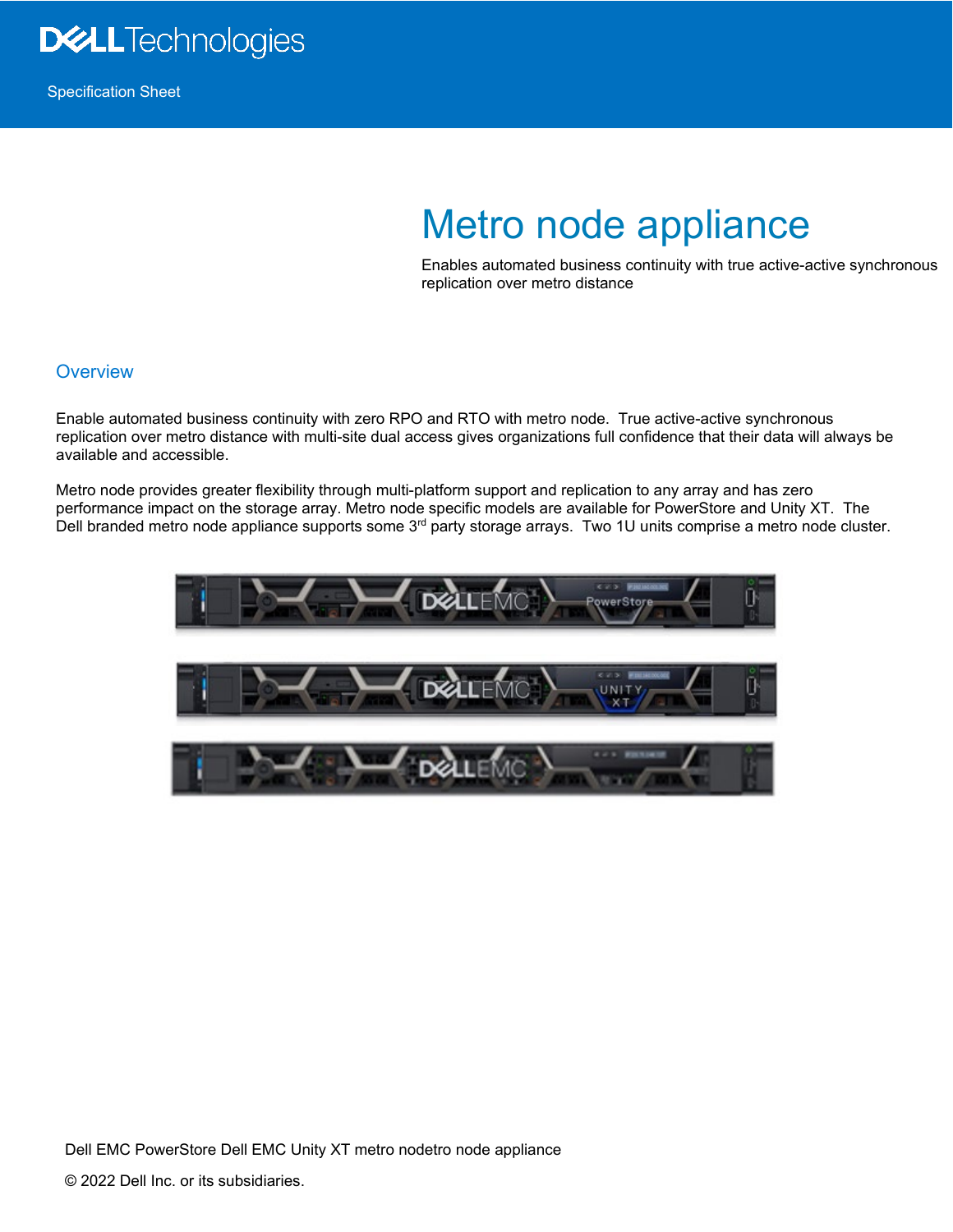

## Metro node appliance

Enables automated business continuity with true active-active synchronous replication over metro distance

## **Overview**

Enable automated business continuity with zero RPO and RTO with metro node. True active-active synchronous replication over metro distance with multi-site dual access gives organizations full confidence that their data will always be available and accessible.

Metro node provides greater flexibility through multi-platform support and replication to any array and has zero performance impact on the storage array. Metro node specific models are available for PowerStore and Unity XT. The Dell branded metro node appliance supports some 3<sup>rd</sup> party storage arrays. Two 1U units comprise a metro node cluster.



Dell EMC PowerStore Dell EMC Unity XT metro nodetro node appliance © 2022 Dell Inc. or its subsidiaries.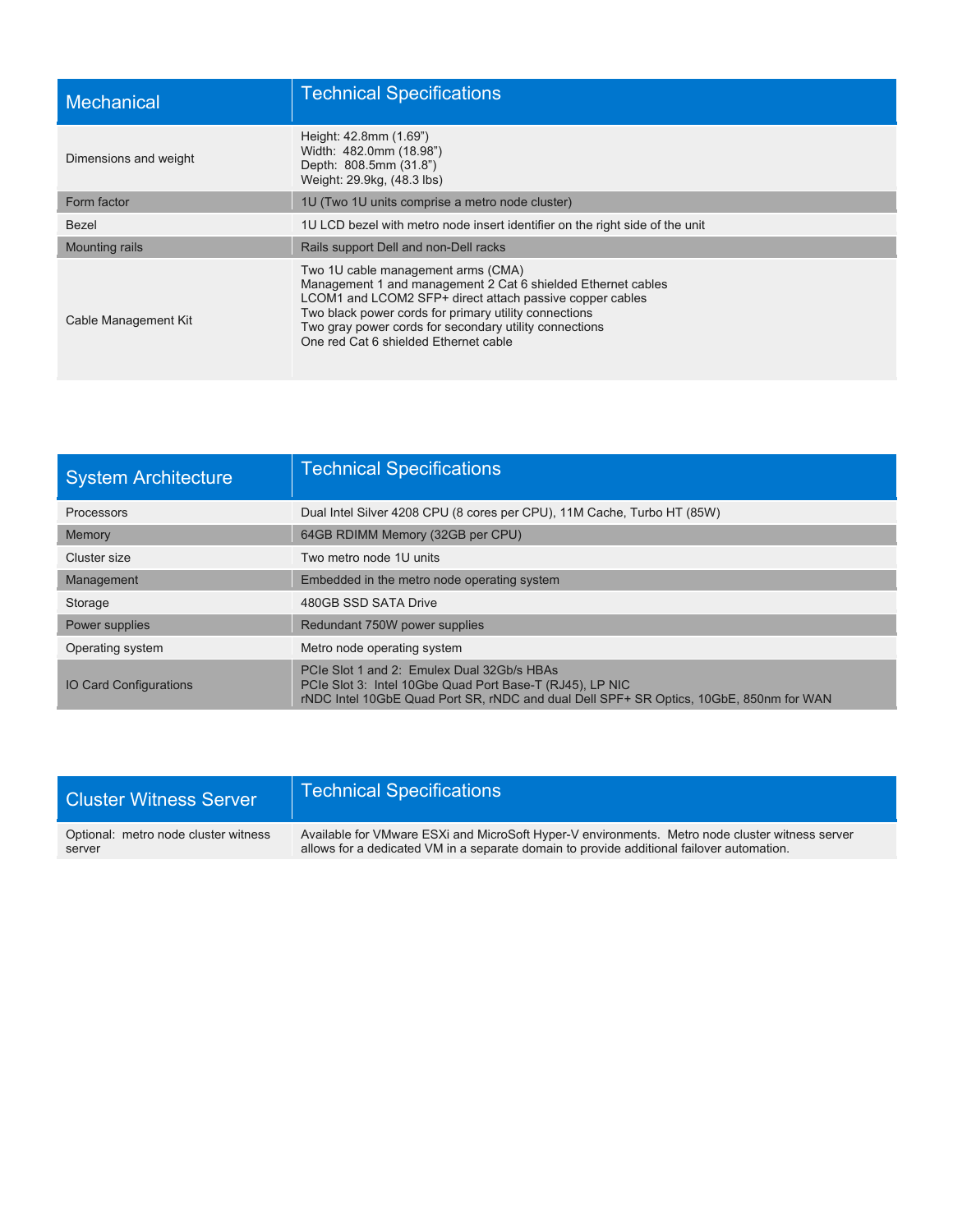| Mechanical            | <b>Technical Specifications</b>                                                                                                                                                                                                                                                                                            |
|-----------------------|----------------------------------------------------------------------------------------------------------------------------------------------------------------------------------------------------------------------------------------------------------------------------------------------------------------------------|
| Dimensions and weight | Height: 42.8mm (1.69")<br>Width: 482.0mm (18.98")<br>Depth: 808.5mm (31.8")<br>Weight: 29.9kg, (48.3 lbs)                                                                                                                                                                                                                  |
| Form factor           | 1U (Two 1U units comprise a metro node cluster)                                                                                                                                                                                                                                                                            |
| Bezel                 | 1U LCD bezel with metro node insert identifier on the right side of the unit                                                                                                                                                                                                                                               |
| <b>Mounting rails</b> | Rails support Dell and non-Dell racks                                                                                                                                                                                                                                                                                      |
| Cable Management Kit  | Two 1U cable management arms (CMA)<br>Management 1 and management 2 Cat 6 shielded Ethernet cables<br>LCOM1 and LCOM2 SFP+ direct attach passive copper cables<br>Two black power cords for primary utility connections<br>Two gray power cords for secondary utility connections<br>One red Cat 6 shielded Ethernet cable |

| <b>System Architecture</b>    | <b>Technical Specifications</b>                                                                                                                                                                  |
|-------------------------------|--------------------------------------------------------------------------------------------------------------------------------------------------------------------------------------------------|
| <b>Processors</b>             | Dual Intel Silver 4208 CPU (8 cores per CPU), 11M Cache, Turbo HT (85W)                                                                                                                          |
| Memory                        | 64GB RDIMM Memory (32GB per CPU)                                                                                                                                                                 |
| Cluster size                  | Two metro node 1U units                                                                                                                                                                          |
| Management                    | Embedded in the metro node operating system                                                                                                                                                      |
| Storage                       | 480GB SSD SATA Drive                                                                                                                                                                             |
| Power supplies                | Redundant 750W power supplies                                                                                                                                                                    |
| Operating system              | Metro node operating system                                                                                                                                                                      |
| <b>IO Card Configurations</b> | PCIe Slot 1 and 2: Emulex Dual 32Gb/s HBAs<br>PCIe Slot 3: Intel 10Gbe Quad Port Base-T (RJ45), LP NIC<br>rNDC Intel 10GbE Quad Port SR, rNDC and dual Dell SPF+ SR Optics, 10GbE, 850nm for WAN |

| <b>Cluster Witness Server</b>        | <b>Technical Specifications</b>                                                                 |
|--------------------------------------|-------------------------------------------------------------------------------------------------|
| Optional: metro node cluster witness | Available for VMware ESXi and MicroSoft Hyper-V environments. Metro node cluster witness server |
| server                               | allows for a dedicated VM in a separate domain to provide additional failover automation.       |